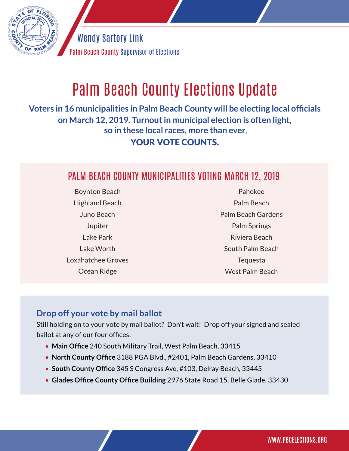

Palm Beach County Supervisor of Elections Wendy Sartory Link

# Palm Beach County Elections Update

**Voters in 16 municipalities in Palm Beach County will be electing local officials on March 12, 2019. Turnout in municipal election is often light, so in these local races, more than ever**, YOUR VOTE COUNTS.

### PALM BEACH COUNTY MUNICIPALITIES VOTING MARCH 12, 2019

Boynton Beach Highland Beach Juno Beach Jupiter Lake Park Lake Worth Loxahatchee Groves Ocean Ridge

Pahokee Palm Beach Palm Beach Gardens Palm Springs Riviera Beach South Palm Beach Tequesta West Palm Beach

#### **Drop off your vote by mail ballot**

Still holding on to your vote by mail ballot? Don't wait! Drop off your signed and sealed ballot at any of our four offices:

- **Main Office** 240 South Military Trail, West Palm Beach, 33415
- **North County Office** 3188 PGA Blvd., #2401, Palm Beach Gardens, 33410
- • **South County Office** 345 S Congress Ave, #103, Delray Beach, 33445
- **Glades Office County Office Building** 2976 State Road 15, Belle Glade, 33430